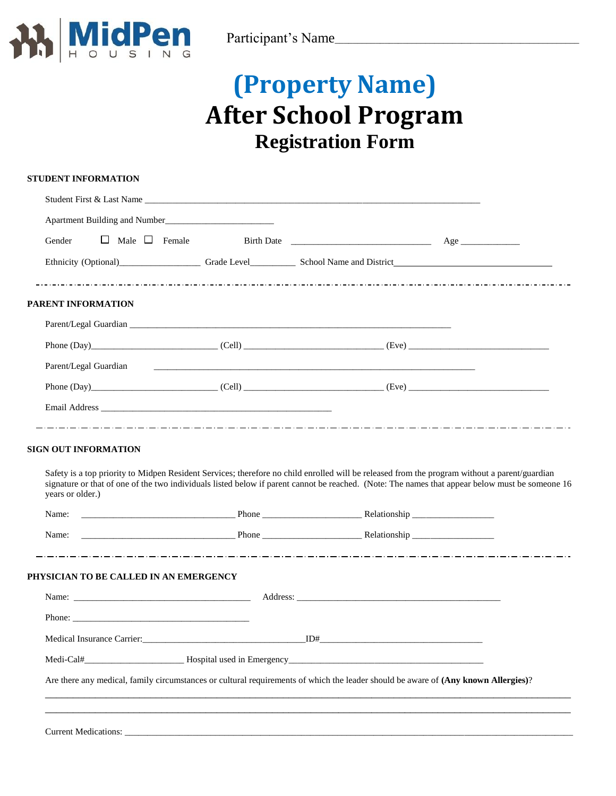

# **(Property Name) After School Program Registration Form**

| <b>STUDENT INFORMATION</b>             |                                                                                                                                                 |
|----------------------------------------|-------------------------------------------------------------------------------------------------------------------------------------------------|
|                                        |                                                                                                                                                 |
|                                        |                                                                                                                                                 |
| $\Box$ Male $\Box$ Female<br>Gender    |                                                                                                                                                 |
|                                        |                                                                                                                                                 |
| PARENT INFORMATION                     |                                                                                                                                                 |
|                                        |                                                                                                                                                 |
|                                        | Phone $(Day)$ (2012) (Cell) (Cell) (Eve) (Eve)                                                                                                  |
| Parent/Legal Guardian                  |                                                                                                                                                 |
|                                        | Phone $(Day)$ (Cell) (Cell) (Cell) (Eve) (Eve)                                                                                                  |
|                                        |                                                                                                                                                 |
| years or older.)<br>Name:              | signature or that of one of the two individuals listed below if parent cannot be reached. (Note: The names that appear below must be someone 16 |
|                                        |                                                                                                                                                 |
| PHYSICIAN TO BE CALLED IN AN EMERGENCY |                                                                                                                                                 |
|                                        |                                                                                                                                                 |
| Phone: $\frac{1}{2}$                   |                                                                                                                                                 |
|                                        |                                                                                                                                                 |
|                                        |                                                                                                                                                 |
|                                        | Are there any medical, family circumstances or cultural requirements of which the leader should be aware of (Any known Allergies)?              |
|                                        |                                                                                                                                                 |
| <b>Current Medications:</b>            |                                                                                                                                                 |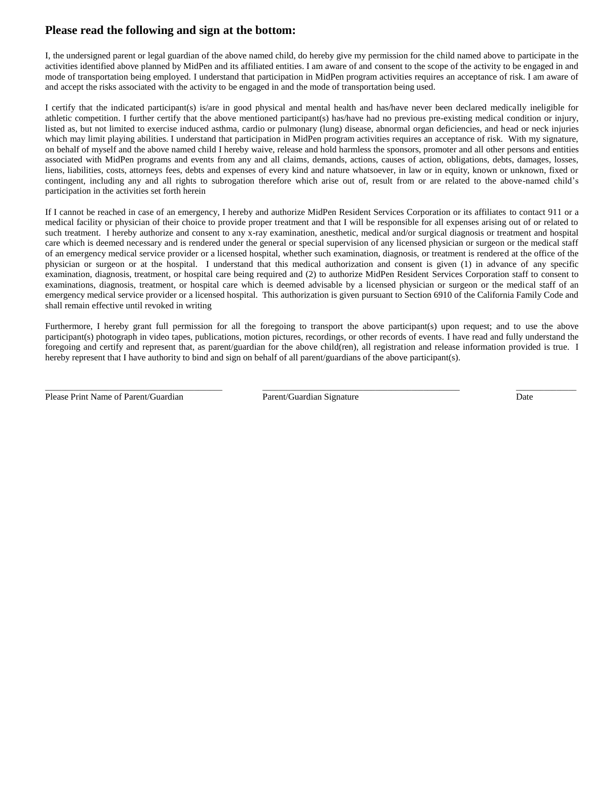### **Please read the following and sign at the bottom:**

I, the undersigned parent or legal guardian of the above named child, do hereby give my permission for the child named above to participate in the activities identified above planned by MidPen and its affiliated entities. I am aware of and consent to the scope of the activity to be engaged in and mode of transportation being employed. I understand that participation in MidPen program activities requires an acceptance of risk. I am aware of and accept the risks associated with the activity to be engaged in and the mode of transportation being used.

I certify that the indicated participant(s) is/are in good physical and mental health and has/have never been declared medically ineligible for athletic competition. I further certify that the above mentioned participant(s) has/have had no previous pre-existing medical condition or injury, listed as, but not limited to exercise induced asthma, cardio or pulmonary (lung) disease, abnormal organ deficiencies, and head or neck injuries which may limit playing abilities. I understand that participation in MidPen program activities requires an acceptance of risk. With my signature, on behalf of myself and the above named child I hereby waive, release and hold harmless the sponsors, promoter and all other persons and entities associated with MidPen programs and events from any and all claims, demands, actions, causes of action, obligations, debts, damages, losses, liens, liabilities, costs, attorneys fees, debts and expenses of every kind and nature whatsoever, in law or in equity, known or unknown, fixed or contingent, including any and all rights to subrogation therefore which arise out of, result from or are related to the above-named child's participation in the activities set forth herein

If I cannot be reached in case of an emergency, I hereby and authorize MidPen Resident Services Corporation or its affiliates to contact 911 or a medical facility or physician of their choice to provide proper treatment and that I will be responsible for all expenses arising out of or related to such treatment. I hereby authorize and consent to any x-ray examination, anesthetic, medical and/or surgical diagnosis or treatment and hospital care which is deemed necessary and is rendered under the general or special supervision of any licensed physician or surgeon or the medical staff of an emergency medical service provider or a licensed hospital, whether such examination, diagnosis, or treatment is rendered at the office of the physician or surgeon or at the hospital. I understand that this medical authorization and consent is given (1) in advance of any specific examination, diagnosis, treatment, or hospital care being required and (2) to authorize MidPen Resident Services Corporation staff to consent to examinations, diagnosis, treatment, or hospital care which is deemed advisable by a licensed physician or surgeon or the medical staff of an emergency medical service provider or a licensed hospital. This authorization is given pursuant to Section 6910 of the California Family Code and shall remain effective until revoked in writing

Furthermore, I hereby grant full permission for all the foregoing to transport the above participant(s) upon request; and to use the above participant(s) photograph in video tapes, publications, motion pictures, recordings, or other records of events. I have read and fully understand the foregoing and certify and represent that, as parent/guardian for the above child(ren), all registration and release information provided is true. I hereby represent that I have authority to bind and sign on behalf of all parent/guardians of the above participant(s).

Please Print Name of Parent/Guardian Parent/Guardian Signature Date

 $\_$  , and the set of the set of the set of the set of the set of the set of the set of the set of the set of the set of the set of the set of the set of the set of the set of the set of the set of the set of the set of th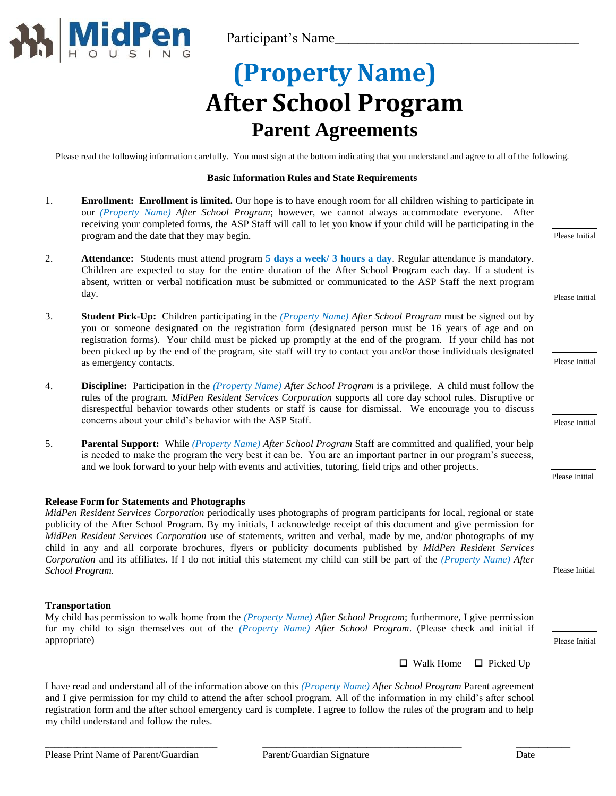

# **(Property Name) After School Program Parent Agreements**

Please read the following information carefully. You must sign at the bottom indicating that you understand and agree to all of the following.

#### **Basic Information Rules and State Requirements**

- 1. **Enrollment: Enrollment is limited.** Our hope is to have enough room for all children wishing to participate in our *(Property Name) After School Program*; however, we cannot always accommodate everyone. After receiving your completed forms, the ASP Staff will call to let you know if your child will be participating in the program and the date that they may begin.
- 2. **Attendance:** Students must attend program **5 days a week/ 3 hours a day**. Regular attendance is mandatory. Children are expected to stay for the entire duration of the After School Program each day. If a student is absent, written or verbal notification must be submitted or communicated to the ASP Staff the next program day.
- 3. **Student Pick-Up:** Children participating in the *(Property Name) After School Program* must be signed out by you or someone designated on the registration form (designated person must be 16 years of age and on registration forms). Your child must be picked up promptly at the end of the program. If your child has not been picked up by the end of the program, site staff will try to contact you and/or those individuals designated as emergency contacts.
- 4. **Discipline:** Participation in the *(Property Name) After School Program* is a privilege. A child must follow the rules of the program. *MidPen Resident Services Corporation* supports all core day school rules. Disruptive or disrespectful behavior towards other students or staff is cause for dismissal. We encourage you to discuss concerns about your child's behavior with the ASP Staff.
- 5. **Parental Support:** While *(Property Name) After School Program* Staff are committed and qualified, your help is needed to make the program the very best it can be. You are an important partner in our program's success, and we look forward to your help with events and activities, tutoring, field trips and other projects.

#### **Release Form for Statements and Photographs**

*MidPen Resident Services Corporation* periodically uses photographs of program participants for local, regional or state publicity of the After School Program. By my initials, I acknowledge receipt of this document and give permission for *MidPen Resident Services Corporation* use of statements, written and verbal, made by me, and/or photographs of my child in any and all corporate brochures, flyers or publicity documents published by *MidPen Resident Services Corporation* and its affiliates. If I do not initial this statement my child can still be part of the *(Property Name) After School Program.*

#### **Transportation**

### My child has permission to walk home from the *(Property Name) After School Program*; furthermore, I give permission for my child to sign themselves out of the *(Property Name) After School Program*. (Please check and initial if appropriate)

 $\Box$  Walk Home  $\Box$  Picked Up

I have read and understand all of the information above on this *(Property Name) After School Program* Parent agreement and I give permission for my child to attend the after school program. All of the information in my child's after school registration form and the after school emergency card is complete. I agree to follow the rules of the program and to help my child understand and follow the rules.

Please Initial

Please Initial

Please Initial

Please Initial

Please Initial

Please Initial

Please Initial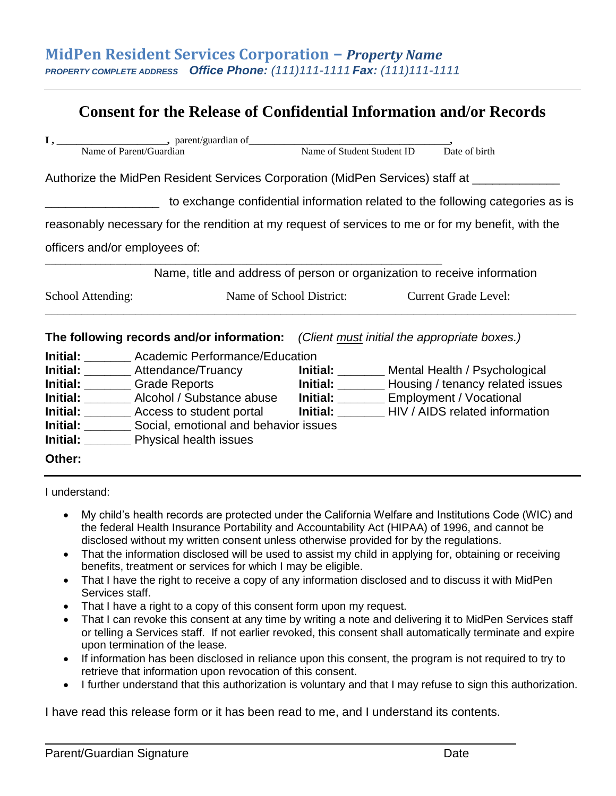### **Consent for the Release of Confidential Information and/or Records**

|                                                                                                    |                                                                                             |                                               |  | Date of birth                                                                  |  |  |  |
|----------------------------------------------------------------------------------------------------|---------------------------------------------------------------------------------------------|-----------------------------------------------|--|--------------------------------------------------------------------------------|--|--|--|
| Authorize the MidPen Resident Services Corporation (MidPen Services) staff at ____________         |                                                                                             |                                               |  |                                                                                |  |  |  |
|                                                                                                    |                                                                                             |                                               |  | to exchange confidential information related to the following categories as is |  |  |  |
| reasonably necessary for the rendition at my request of services to me or for my benefit, with the |                                                                                             |                                               |  |                                                                                |  |  |  |
| officers and/or employees of:                                                                      |                                                                                             |                                               |  |                                                                                |  |  |  |
|                                                                                                    | Name, title and address of person or organization to receive information                    |                                               |  |                                                                                |  |  |  |
| School Attending:                                                                                  |                                                                                             | Name of School District: Current Grade Level: |  |                                                                                |  |  |  |
|                                                                                                    | The following records and/or information: (Client must initial the appropriate boxes.)      |                                               |  |                                                                                |  |  |  |
|                                                                                                    | <b>Initial:</b> Academic Performance/Education                                              |                                               |  |                                                                                |  |  |  |
|                                                                                                    | Initial: _________ Attendance/Truancy <b>Initial:</b> _______ Mental Health / Psychological |                                               |  |                                                                                |  |  |  |
| <b>Initial:</b> Crade Reports                                                                      |                                                                                             |                                               |  | Initial: ________ Housing / tenancy related issues                             |  |  |  |
|                                                                                                    | Initial: _______ Alcohol / Substance abuse    Initial: ______ Employment / Vocational       |                                               |  |                                                                                |  |  |  |
|                                                                                                    | Initial: ________ Access to student portal Initial: _______ HIV / AIDS related information  |                                               |  |                                                                                |  |  |  |
| Initial: _________ Social, emotional and behavior issues                                           |                                                                                             |                                               |  |                                                                                |  |  |  |
|                                                                                                    | <b>Initial:</b> ___________ Physical health issues                                          |                                               |  |                                                                                |  |  |  |
| Other:                                                                                             |                                                                                             |                                               |  |                                                                                |  |  |  |
|                                                                                                    |                                                                                             |                                               |  |                                                                                |  |  |  |

I understand:

- My child's health records are protected under the California Welfare and Institutions Code (WIC) and the federal Health Insurance Portability and Accountability Act (HIPAA) of 1996, and cannot be disclosed without my written consent unless otherwise provided for by the regulations.
- That the information disclosed will be used to assist my child in applying for, obtaining or receiving benefits, treatment or services for which I may be eligible.
- That I have the right to receive a copy of any information disclosed and to discuss it with MidPen Services staff.
- That I have a right to a copy of this consent form upon my request.
- That I can revoke this consent at any time by writing a note and delivering it to MidPen Services staff or telling a Services staff. If not earlier revoked, this consent shall automatically terminate and expire upon termination of the lease.
- If information has been disclosed in reliance upon this consent, the program is not required to try to retrieve that information upon revocation of this consent.
- I further understand that this authorization is voluntary and that I may refuse to sign this authorization.

I have read this release form or it has been read to me, and I understand its contents.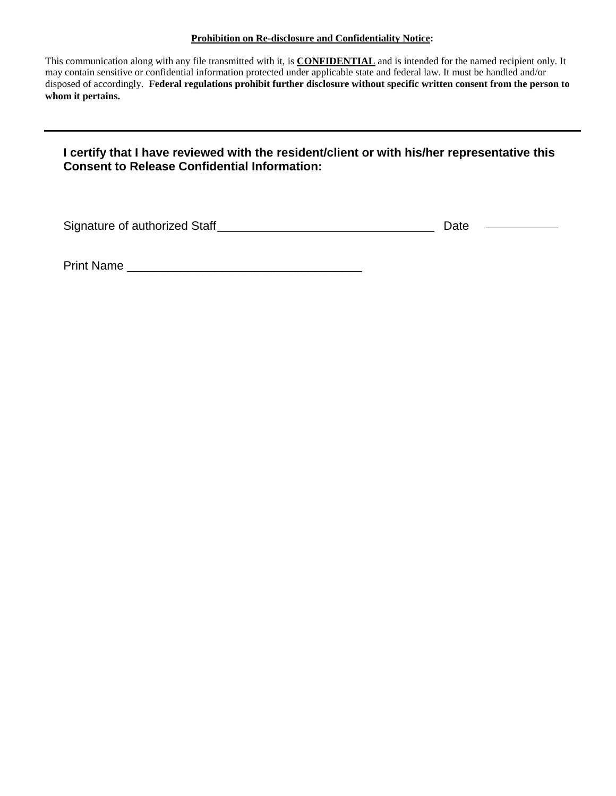### **Prohibition on Re-disclosure and Confidentiality Notice:**

This communication along with any file transmitted with it, is **CONFIDENTIAL** and is intended for the named recipient only. It may contain sensitive or confidential information protected under applicable state and federal law. It must be handled and/or disposed of accordingly. **Federal regulations prohibit further disclosure without specific written consent from the person to whom it pertains.**

### **I certify that I have reviewed with the resident/client or with his/her representative this Consent to Release Confidential Information:**

Signature of authorized Staff Date

Print Name \_\_\_\_\_\_\_\_\_\_\_\_\_\_\_\_\_\_\_\_\_\_\_\_\_\_\_\_\_\_\_\_\_\_\_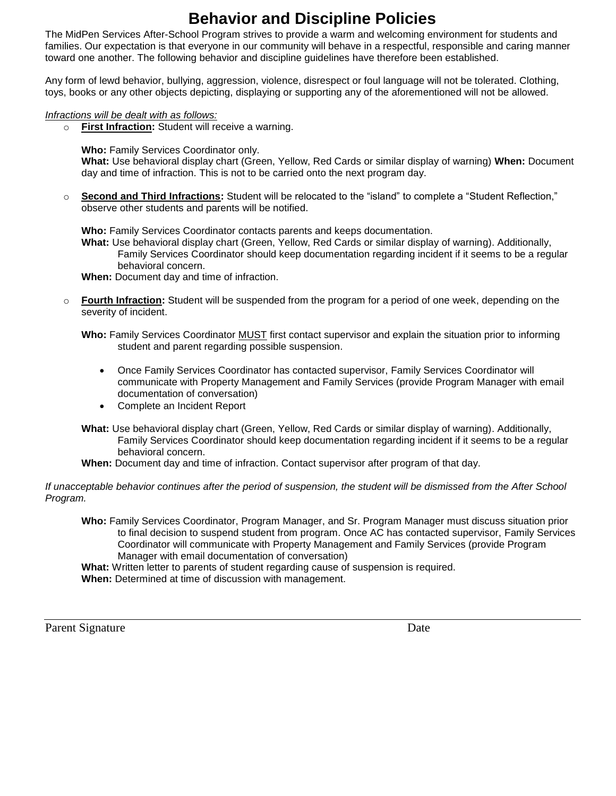## **Behavior and Discipline Policies**

The MidPen Services After-School Program strives to provide a warm and welcoming environment for students and families. Our expectation is that everyone in our community will behave in a respectful, responsible and caring manner toward one another. The following behavior and discipline guidelines have therefore been established.

Any form of lewd behavior, bullying, aggression, violence, disrespect or foul language will not be tolerated. Clothing, toys, books or any other objects depicting, displaying or supporting any of the aforementioned will not be allowed.

### *Infractions will be dealt with as follows:*

o **First Infraction:** Student will receive a warning.

**Who:** Family Services Coordinator only.

**What:** Use behavioral display chart (Green, Yellow, Red Cards or similar display of warning) **When:** Document day and time of infraction. This is not to be carried onto the next program day.

o **Second and Third Infractions:** Student will be relocated to the "island" to complete a "Student Reflection," observe other students and parents will be notified.

**Who:** Family Services Coordinator contacts parents and keeps documentation.

**What:** Use behavioral display chart (Green, Yellow, Red Cards or similar display of warning). Additionally, Family Services Coordinator should keep documentation regarding incident if it seems to be a regular behavioral concern.

**When:** Document day and time of infraction.

o **Fourth Infraction:** Student will be suspended from the program for a period of one week, depending on the severity of incident.

- Once Family Services Coordinator has contacted supervisor, Family Services Coordinator will communicate with Property Management and Family Services (provide Program Manager with email documentation of conversation)
- Complete an Incident Report
- **What:** Use behavioral display chart (Green, Yellow, Red Cards or similar display of warning). Additionally, Family Services Coordinator should keep documentation regarding incident if it seems to be a regular behavioral concern.
- **When:** Document day and time of infraction. Contact supervisor after program of that day.

*If unacceptable behavior continues after the period of suspension, the student will be dismissed from the After School Program.* 

**Who:** Family Services Coordinator, Program Manager, and Sr. Program Manager must discuss situation prior to final decision to suspend student from program. Once AC has contacted supervisor, Family Services Coordinator will communicate with Property Management and Family Services (provide Program Manager with email documentation of conversation)

**What:** Written letter to parents of student regarding cause of suspension is required. **When:** Determined at time of discussion with management.

Parent Signature Date

**Who:** Family Services Coordinator MUST first contact supervisor and explain the situation prior to informing student and parent regarding possible suspension.